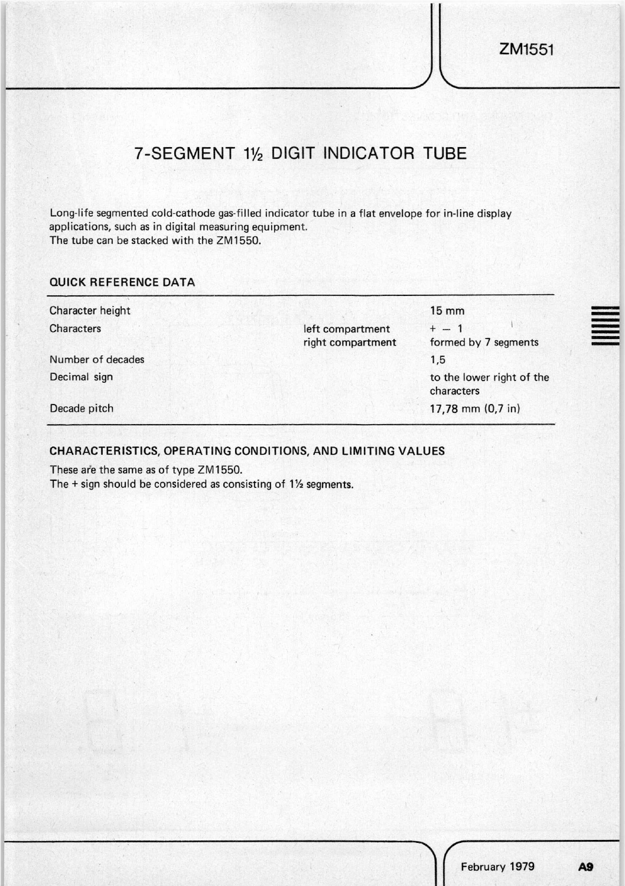## 7-SEGMENT 11/2 DIGIT INDICATOR TUBE

Long-life segmented cold-cathode gas-filled indicator tube in a flat envelope for in-line display applications, such as in digital measuring equipment. The tube can be stacked with the ZM1550.

## QUICK REFERENCE DATA

| Character height  |                                       | $15 \text{ mm}$                         |
|-------------------|---------------------------------------|-----------------------------------------|
| Characters        | left compartment<br>right compartment | $+ - 1$<br>formed by 7 segments         |
| Number of decades |                                       | 1,5                                     |
| Decimal sign      |                                       | to the lower right of the<br>characters |
| Decade pitch      |                                       | 17,78 mm $(0,7$ in)                     |

## CHARACTERISTICS, OPERATING CONDITIONS, AND LIMITING VALUES

These are the same as of type ZM1550.

The  $+$  sign should be considered as consisting of  $1\frac{1}{2}$  segments.